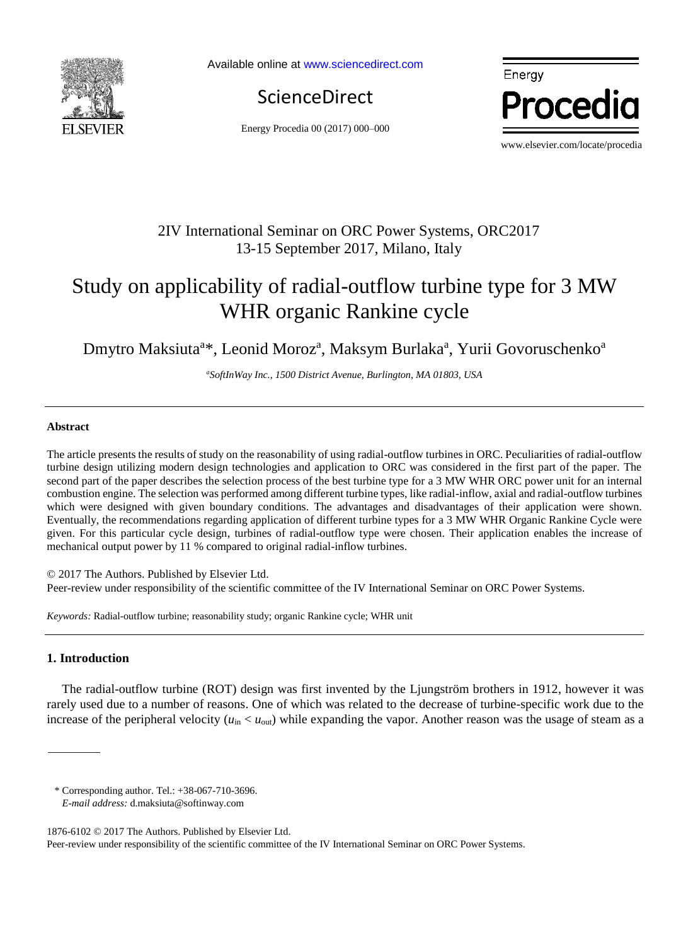

Available online a[t www.sciencedirect.com](http://www.sciencedirect.com/science/journal/22126716)

**ScienceDirect** 

Energy Procedia 00 (2017) 000–000



www.elsevier.com/locate/procedia

# 2IV International Seminar on ORC Power Systems, ORC2017 13-15 September 2017, Milano, Italy

# Study on applicability of radial-outflow turbine type for 3 MW WHR organic Rankine cycle

Dmytro Maksiuta<sup>a\*</sup>, Leonid Moroz<sup>a</sup>, Maksym Burlaka<sup>a</sup>, Yurii Govoruschenko<sup>a</sup>

*<sup>a</sup>SoftInWay Inc., 1500 District Avenue, Burlington, MA 01803, USA*

#### **Abstract**

The article presents the results of study on the reasonability of using radial-outflow turbines in ORC. Peculiarities of radial-outflow turbine design utilizing modern design technologies and application to ORC was considered in the first part of the paper. The second part of the paper describes the selection process of the best turbine type for a 3 MW WHR ORC power unit for an internal combustion engine. The selection was performed among different turbine types, like radial-inflow, axial and radial-outflow turbines which were designed with given boundary conditions. The advantages and disadvantages of their application were shown. Eventually, the recommendations regarding application of different turbine types for a 3 MW WHR Organic Rankine Cycle were given. For this particular cycle design, turbines of radial-outflow type were chosen. Their application enables the increase of mechanical output power by 11 % compared to original radial-inflow turbines.

© 2017 The Authors. Published by Elsevier Ltd. Peer-review under responsibility of the scientific committee of the IV International Seminar on ORC Power Systems.

*Keywords:* Radial-outflow turbine; reasonability study; organic Rankine cycle; WHR unit

### **1. Introduction**

The radial-outflow turbine (ROT) design was first invented by the Ljungström brothers in 1912, however it was rarely used due to a number of reasons. One of which was related to the decrease of turbine-specific work due to the increase of the peripheral velocity ( $u_{in} < u_{out}$ ) while expanding the vapor. Another reason was the usage of steam as a

<sup>\*</sup> Corresponding author. Tel.: +38-067-710-3696.

*E-mail address:* d.maksiuta@softinway.com

<sup>1876-6102</sup> © 2017 The Authors. Published by Elsevier Ltd. Peer-review under responsibility of the scientific committee of the IV International Seminar on ORC Power Systems.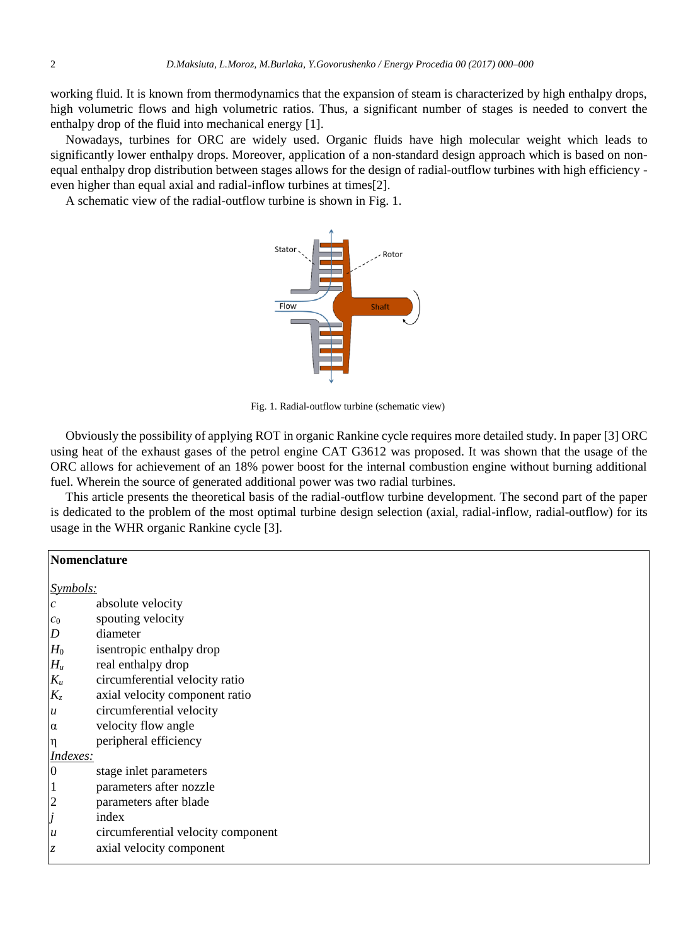working fluid. It is known from thermodynamics that the expansion of steam is characterized by high enthalpy drops, high volumetric flows and high volumetric ratios. Thus, a significant number of stages is needed to convert the enthalpy drop of the fluid into mechanical energy [1].

Nowadays, turbines for ORC are widely used. Organic fluids have high molecular weight which leads to significantly lower enthalpy drops. Moreover, application of a non-standard design approach which is based on nonequal enthalpy drop distribution between stages allows for the design of radial-outflow turbines with high efficiency even higher than equal axial and radial-inflow turbines at times[2].

A schematic view of the radial-outflow turbine is shown in Fig. 1.



Fig. 1. Radial-outflow turbine (schematic view)

Obviously the possibility of applying ROT in organic Rankine cycle requires more detailed study. In paper [3] ORC using heat of the exhaust gases of the petrol engine CAT G3612 was proposed. It was shown that the usage of the ORC allows for achievement of an 18% power boost for the internal combustion engine without burning additional fuel. Wherein the source of generated additional power was two radial turbines.

This article presents the theoretical basis of the radial-outflow turbine development. The second part of the paper is dedicated to the problem of the most optimal turbine design selection (axial, radial-inflow, radial-outflow) for its usage in the WHR organic Rankine cycle [3].

|                  | Nomenclature                       |  |
|------------------|------------------------------------|--|
| Symbols:         |                                    |  |
| $\mathcal{C}$    | absolute velocity                  |  |
| $\mathcal{C}0$   | spouting velocity                  |  |
| $\boldsymbol{D}$ | diameter                           |  |
| $H_0$            | isentropic enthalpy drop           |  |
| $H_u$            | real enthalpy drop                 |  |
| $\mathfrak{K}_u$ | circumferential velocity ratio     |  |
| $K_z$            | axial velocity component ratio     |  |
| $\boldsymbol{u}$ | circumferential velocity           |  |
| $\alpha$         | velocity flow angle                |  |
| $\eta$           | peripheral efficiency              |  |
| Indexes:         |                                    |  |
| $\boldsymbol{0}$ | stage inlet parameters             |  |
| $\mathbf{1}$     | parameters after nozzle            |  |
| 2                | parameters after blade             |  |
| J                | index                              |  |
| $\boldsymbol{u}$ | circumferential velocity component |  |
| Z                | axial velocity component           |  |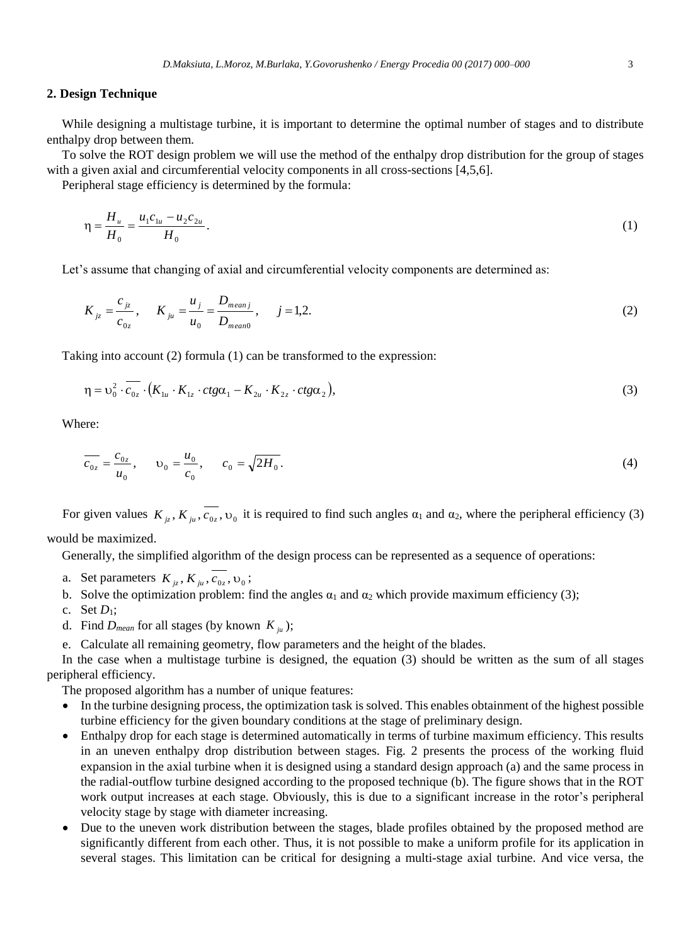#### **2. Design Technique**

While designing a multistage turbine, it is important to determine the optimal number of stages and to distribute enthalpy drop between them.

To solve the ROT design problem we will use the method of the enthalpy drop distribution for the group of stages with a given axial and circumferential velocity components in all cross-sections [4,5,6].

Peripheral stage efficiency is determined by the formula:

$$
\eta = \frac{H_u}{H_0} = \frac{u_1 c_{1u} - u_2 c_{2u}}{H_0}.
$$
\n(1)

Let's assume that changing of axial and circumferential velocity components are determined as:

$$
K_{jz} = \frac{c_{jz}}{c_{0z}}, \quad K_{ju} = \frac{u_j}{u_0} = \frac{D_{meanj}}{D_{mean0}}, \quad j = 1, 2.
$$
 (2)

Taking into account (2) formula (1) can be transformed to the expression:

$$
\eta = \upsilon_0^2 \cdot \overline{c_{0z}} \cdot (K_{1u} \cdot K_{1z} \cdot ctg\alpha_1 - K_{2u} \cdot K_{2z} \cdot ctg\alpha_2), \tag{3}
$$

Where:

$$
\overline{c_{0z}} = \frac{c_{0z}}{u_0}, \qquad v_0 = \frac{u_0}{c_0}, \qquad c_0 = \sqrt{2H_0}.
$$
\n(4)

For given values  $K_{jz}$ ,  $K_{ju}$ ,  $c_{0z}$ ,  $v_0$  it is required to find such angles  $\alpha_1$  and  $\alpha_2$ , where the peripheral efficiency (3)

would be maximized.

Generally, the simplified algorithm of the design process can be represented as a sequence of operations:

- a. Set parameters  $K_{jz}$ ,  $K_{ju}$ ,  $c_{0z}$ ,  $v_0$ ;
- b. Solve the optimization problem: find the angles  $\alpha_1$  and  $\alpha_2$  which provide maximum efficiency (3);
- c. Set *D*1;
- d. Find  $D_{mean}$  for all stages (by known  $K_{ju}$ );
- e. Calculate all remaining geometry, flow parameters and the height of the blades.

In the case when a multistage turbine is designed, the equation (3) should be written as the sum of all stages peripheral efficiency.

The proposed algorithm has a number of unique features:

- In the turbine designing process, the optimization task is solved. This enables obtainment of the highest possible turbine efficiency for the given boundary conditions at the stage of preliminary design.
- Enthalpy drop for each stage is determined automatically in terms of turbine maximum efficiency. This results in an uneven enthalpy drop distribution between stages. Fig. 2 presents the process of the working fluid expansion in the axial turbine when it is designed using a standard design approach (a) and the same process in the radial-outflow turbine designed according to the proposed technique (b). The figure shows that in the ROT work output increases at each stage. Obviously, this is due to a significant increase in the rotor's peripheral velocity stage by stage with diameter increasing.
- Due to the uneven work distribution between the stages, blade profiles obtained by the proposed method are significantly different from each other. Thus, it is not possible to make a uniform profile for its application in several stages. This limitation can be critical for designing a multi-stage axial turbine. And vice versa, the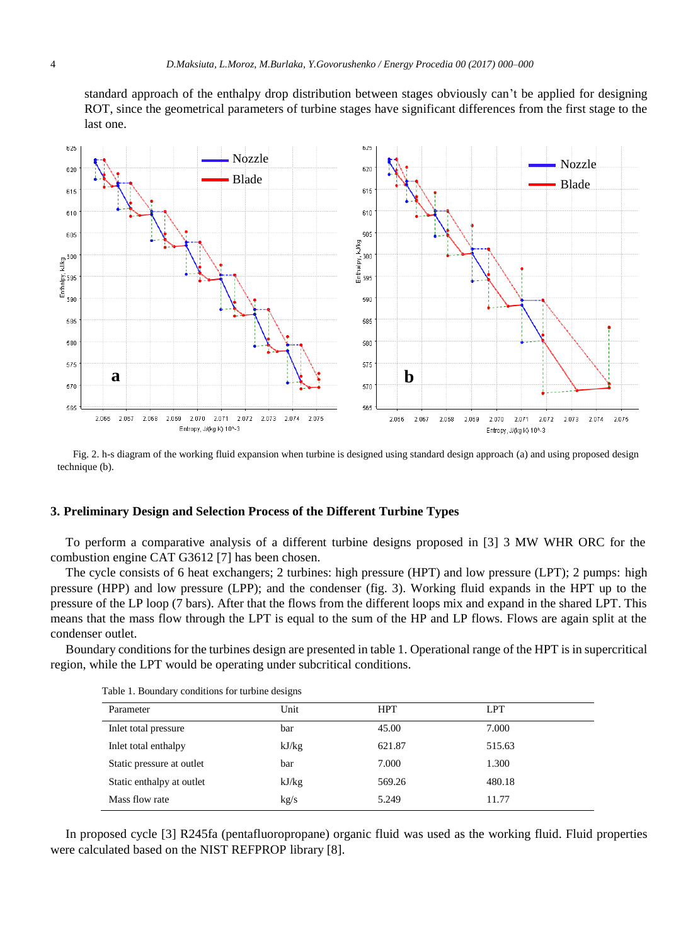standard approach of the enthalpy drop distribution between stages obviously can't be applied for designing ROT, since the geometrical parameters of turbine stages have significant differences from the first stage to the last one.



Fig. 2. h-s diagram of the working fluid expansion when turbine is designed using standard design approach (a) and using proposed design technique (b).

#### **3. Preliminary Design and Selection Process of the Different Turbine Types**

To perform a comparative analysis of a different turbine designs proposed in [3] 3 MW WHR ORC for the combustion engine CAT G3612 [7] has been chosen.

The cycle consists of 6 heat exchangers; 2 turbines: high pressure (HPT) and low pressure (LPT); 2 pumps: high pressure (HPP) and low pressure (LPP); and the condenser (fig. 3). Working fluid expands in the HPT up to the pressure of the LP loop (7 bars). After that the flows from the different loops mix and expand in the shared LPT. This means that the mass flow through the LPT is equal to the sum of the HP and LP flows. Flows are again split at the condenser outlet.

Boundary conditions for the turbines design are presented in table 1. Operational range of the HPT is in supercritical region, while the LPT would be operating under subcritical conditions.

| Parameter                 | Unit  | <b>HPT</b> | <b>LPT</b> |
|---------------------------|-------|------------|------------|
| Inlet total pressure      | bar   | 45.00      | 7.000      |
| Inlet total enthalpy      | kJ/kg | 621.87     | 515.63     |
| Static pressure at outlet | bar   | 7.000      | 1.300      |
| Static enthalpy at outlet | kJ/kg | 569.26     | 480.18     |
| Mass flow rate            | kg/s  | 5.249      | 11.77      |

Table 1. Boundary conditions for turbine designs

In proposed cycle [3] R245fa (pentafluoropropane) organic fluid was used as the working fluid. Fluid properties were calculated based on the NIST REFPROP library [8].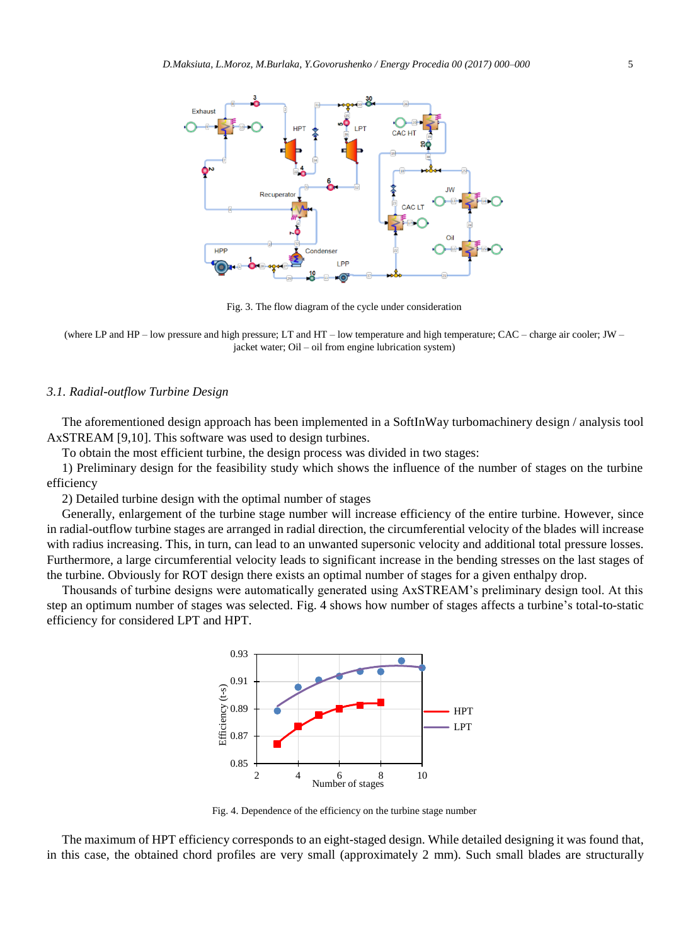

Fig. 3. The flow diagram of the cycle under consideration

(where LP and HP – low pressure and high pressure; LT and HT – low temperature and high temperature; CAC – charge air cooler; JW – jacket water; Oil – oil from engine lubrication system)

#### *3.1. Radial-outflow Turbine Design*

The aforementioned design approach has been implemented in a SoftInWay turbomachinery design / analysis tool AxSTREAM [9,10]. This software was used to design turbines.

To obtain the most efficient turbine, the design process was divided in two stages:

1) Preliminary design for the feasibility study which shows the influence of the number of stages on the turbine efficiency

2) Detailed turbine design with the optimal number of stages

Generally, enlargement of the turbine stage number will increase efficiency of the entire turbine. However, since in radial-outflow turbine stages are arranged in radial direction, the circumferential velocity of the blades will increase with radius increasing. This, in turn, can lead to an unwanted supersonic velocity and additional total pressure losses. Furthermore, a large circumferential velocity leads to significant increase in the bending stresses on the last stages of the turbine. Obviously for ROT design there exists an optimal number of stages for a given enthalpy drop.

Thousands of turbine designs were automatically generated using AxSTREAM's preliminary design tool. At this step an optimum number of stages was selected. Fig. 4 shows how number of stages affects a turbine's total-to-static efficiency for considered LPT and HPT.



Fig. 4. Dependence of the efficiency on the turbine stage number

The maximum of HPT efficiency corresponds to an eight-staged design. While detailed designing it was found that, in this case, the obtained chord profiles are very small (approximately 2 mm). Such small blades are structurally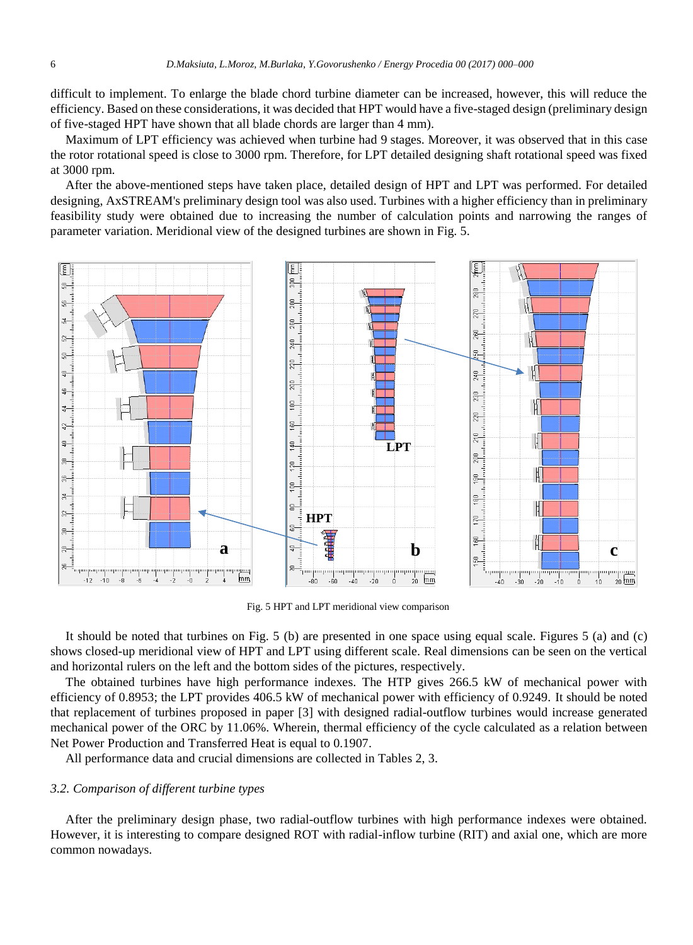difficult to implement. To enlarge the blade chord turbine diameter can be increased, however, this will reduce the efficiency. Based on these considerations, it was decided that HPT would have a five-staged design (preliminary design of five-staged HPT have shown that all blade chords are larger than 4 mm).

Maximum of LPT efficiency was achieved when turbine had 9 stages. Moreover, it was observed that in this case the rotor rotational speed is close to 3000 rpm. Therefore, for LPT detailed designing shaft rotational speed was fixed at 3000 rpm.

After the above-mentioned steps have taken place, detailed design of HPT and LPT was performed. For detailed designing, AxSTREAM's preliminary design tool was also used. Turbines with a higher efficiency than in preliminary feasibility study were obtained due to increasing the number of calculation points and narrowing the ranges of parameter variation. Meridional view of the designed turbines are shown in Fig. 5.



Fig. 5 HPT and LPT meridional view comparison

It should be noted that turbines on Fig. 5 (b) are presented in one space using equal scale. Figures 5 (a) and (c) shows closed-up meridional view of HPT and LPT using different scale. Real dimensions can be seen on the vertical and horizontal rulers on the left and the bottom sides of the pictures, respectively.

The obtained turbines have high performance indexes. The HTP gives 266.5 kW of mechanical power with efficiency of 0.8953; the LPT provides 406.5 kW of mechanical power with efficiency of 0.9249. It should be noted that replacement of turbines proposed in paper [3] with designed radial-outflow turbines would increase generated mechanical power of the ORC by 11.06%. Wherein, thermal efficiency of the cycle calculated as a relation between Net Power Production and Transferred Heat is equal to 0.1907.

All performance data and crucial dimensions are collected in Tables 2, 3.

# *3.2. Comparison of different turbine types*

After the preliminary design phase, two radial-outflow turbines with high performance indexes were obtained. However, it is interesting to compare designed ROT with radial-inflow turbine (RIT) and axial one, which are more common nowadays.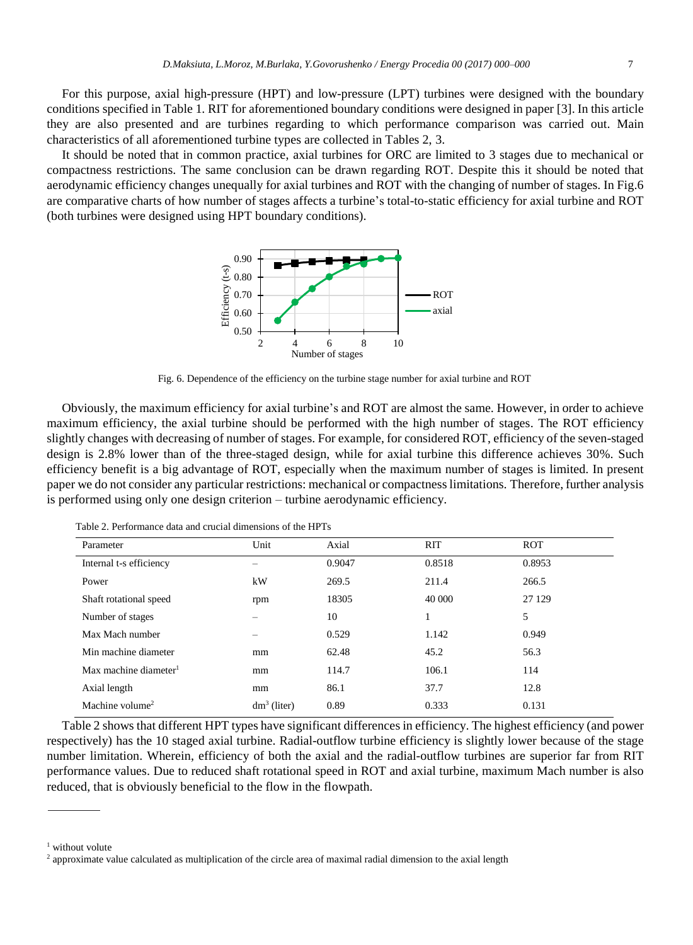For this purpose, axial high-pressure (HPT) and low-pressure (LPT) turbines were designed with the boundary conditions specified in Table 1. RIT for aforementioned boundary conditions were designed in paper [3]. In this article they are also presented and are turbines regarding to which performance comparison was carried out. Main characteristics of all aforementioned turbine types are collected in Tables 2, 3.

It should be noted that in common practice, axial turbines for ORC are limited to 3 stages due to mechanical or compactness restrictions. The same conclusion can be drawn regarding ROT. Despite this it should be noted that aerodynamic efficiency changes unequally for axial turbines and ROT with the changing of number of stages. In Fig.6 are comparative charts of how number of stages affects a turbine's total-to-static efficiency for axial turbine and ROT (both turbines were designed using HPT boundary conditions).



Fig. 6. Dependence of the efficiency on the turbine stage number for axial turbine and ROT

Obviously, the maximum efficiency for axial turbine's and ROT are almost the same. However, in order to achieve maximum efficiency, the axial turbine should be performed with the high number of stages. The ROT efficiency slightly changes with decreasing of number of stages. For example, for considered ROT, efficiency of the seven-staged design is 2.8% lower than of the three-staged design, while for axial turbine this difference achieves 30%. Such efficiency benefit is a big advantage of ROT, especially when the maximum number of stages is limited. In present paper we do not consider any particular restrictions: mechanical or compactness limitations. Therefore, further analysis is performed using only one design criterion – turbine aerodynamic efficiency.

| Parameter                         | Unit           | Axial  | <b>RIT</b> | <b>ROT</b> |
|-----------------------------------|----------------|--------|------------|------------|
| Internal t-s efficiency           | -              | 0.9047 | 0.8518     | 0.8953     |
| Power                             | kW             | 269.5  | 211.4      | 266.5      |
| Shaft rotational speed            | rpm            | 18305  | 40 000     | 27 1 29    |
| Number of stages                  | -              | 10     |            | 5          |
| Max Mach number                   |                | 0.529  | 1.142      | 0.949      |
| Min machine diameter              | mm             | 62.48  | 45.2       | 56.3       |
| Max machine diameter <sup>1</sup> | mm             | 114.7  | 106.1      | 114        |
| Axial length                      | mm             | 86.1   | 37.7       | 12.8       |
| Machine volume <sup>2</sup>       | $dm^3$ (liter) | 0.89   | 0.333      | 0.131      |

Table 2. Performance data and crucial dimensions of the HPTs

Table 2 shows that different HPT types have significant differences in efficiency. The highest efficiency (and power respectively) has the 10 staged axial turbine. Radial-outflow turbine efficiency is slightly lower because of the stage number limitation. Wherein, efficiency of both the axial and the radial-outflow turbines are superior far from RIT performance values. Due to reduced shaft rotational speed in ROT and axial turbine, maximum Mach number is also reduced, that is obviously beneficial to the flow in the flowpath.

 $1$  without volute

<sup>&</sup>lt;sup>2</sup> approximate value calculated as multiplication of the circle area of maximal radial dimension to the axial length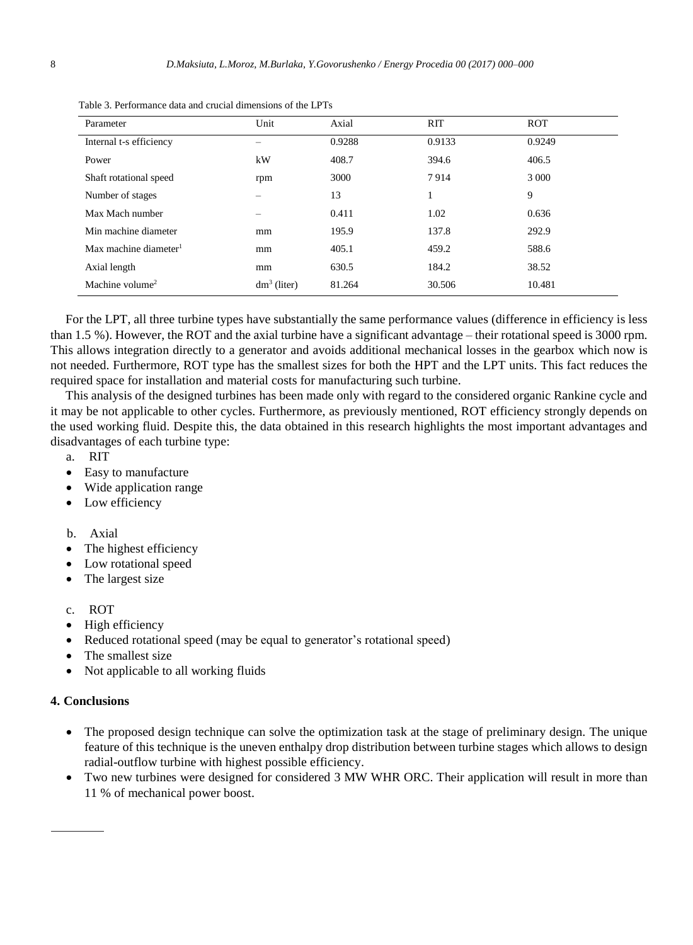| Parameter                         | Unit           | Axial  | <b>RIT</b> | <b>ROT</b> |
|-----------------------------------|----------------|--------|------------|------------|
| Internal t-s efficiency           | -              | 0.9288 | 0.9133     | 0.9249     |
| Power                             | kW             | 408.7  | 394.6      | 406.5      |
| Shaft rotational speed            | rpm            | 3000   | 7914       | 3 0 0 0    |
| Number of stages                  |                | 13     | 1          | 9          |
| Max Mach number                   |                | 0.411  | 1.02       | 0.636      |
| Min machine diameter              | mm             | 195.9  | 137.8      | 292.9      |
| Max machine diameter <sup>1</sup> | mm             | 405.1  | 459.2      | 588.6      |
| Axial length                      | mm             | 630.5  | 184.2      | 38.52      |
| Machine volume <sup>2</sup>       | $dm^3$ (liter) | 81.264 | 30.506     | 10.481     |

Table 3. Performance data and crucial dimensions of the LPTs

For the LPT, all three turbine types have substantially the same performance values (difference in efficiency is less than 1.5 %). However, the ROT and the axial turbine have a significant advantage – their rotational speed is 3000 rpm. This allows integration directly to a generator and avoids additional mechanical losses in the gearbox which now is not needed. Furthermore, ROT type has the smallest sizes for both the HPT and the LPT units. This fact reduces the required space for installation and material costs for manufacturing such turbine.

This analysis of the designed turbines has been made only with regard to the considered organic Rankine cycle and it may be not applicable to other cycles. Furthermore, as previously mentioned, ROT efficiency strongly depends on the used working fluid. Despite this, the data obtained in this research highlights the most important advantages and disadvantages of each turbine type:

- a. RIT
- Easy to manufacture
- Wide application range
- Low efficiency

# b. Axial

- The highest efficiency
- Low rotational speed
- The largest size
- c. ROT
- High efficiency
- Reduced rotational speed (may be equal to generator's rotational speed)
- The smallest size
- Not applicable to all working fluids

# **4. Conclusions**

- The proposed design technique can solve the optimization task at the stage of preliminary design. The unique feature of this technique is the uneven enthalpy drop distribution between turbine stages which allows to design radial-outflow turbine with highest possible efficiency.
- Two new turbines were designed for considered 3 MW WHR ORC. Their application will result in more than 11 % of mechanical power boost.